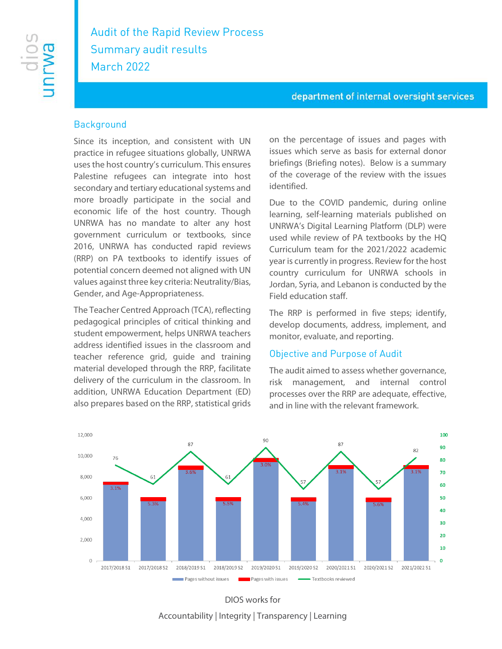# Audit of the Rapid Review Process Summary audit results March 2022

#### department of internal oversight services

#### **Background**

Since its inception, and consistent with UN practice in refugee situations globally, UNRWA uses the host country's curriculum. This ensures Palestine refugees can integrate into host secondary and tertiary educational systems and more broadly participate in the social and economic life of the host country. Though UNRWA has no mandate to alter any host government curriculum or textbooks, since 2016, UNRWA has conducted rapid reviews (RRP) on PA textbooks to identify issues of potential concern deemed not aligned with UN values against three key criteria: Neutrality/Bias, Gender, and Age-Appropriateness.

The Teacher Centred Approach (TCA), reflecting pedagogical principles of critical thinking and student empowerment, helps UNRWA teachers address identified issues in the classroom and teacher reference grid, guide and training material developed through the RRP, facilitate delivery of the curriculum in the classroom. In addition, UNRWA Education Department (ED) also prepares based on the RRP, statistical grids

on the percentage of issues and pages with issues which serve as basis for external donor briefings (Briefing notes). Below is a summary of the coverage of the review with the issues identified.

Due to the COVID pandemic, during online learning, self-learning materials published on UNRWA's Digital Learning Platform (DLP) were used while review of PA textbooks by the HQ Curriculum team for the 2021/2022 academic year is currently in progress. Review for the host country curriculum for UNRWA schools in Jordan, Syria, and Lebanon is conducted by the Field education staff.

The RRP is performed in five steps; identify, develop documents, address, implement, and monitor, evaluate, and reporting.

### Objective and Purpose of Audit

The audit aimed to assess whether governance, risk management, and internal control processes over the RRP are adequate, effective, and in line with the relevant framework.



DIOS works for Accountability | Integrity | Transparency | Learning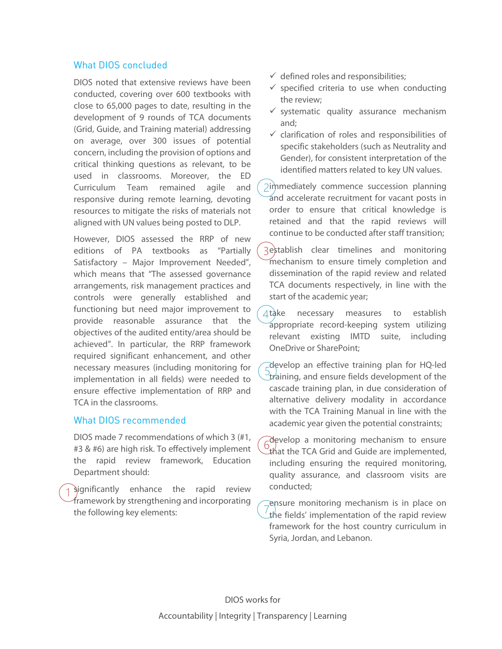### What DIOS concluded

DIOS noted that extensive reviews have been conducted, covering over 600 textbooks with close to 65,000 pages to date, resulting in the development of 9 rounds of TCA documents (Grid, Guide, and Training material) addressing on average, over 300 issues of potential concern, including the provision of options and critical thinking questions as relevant, to be used in classrooms. Moreover, the ED Curriculum Team remained agile and responsive during remote learning, devoting resources to mitigate the risks of materials not aligned with UN values being posted to DLP.

However, DIOS assessed the RRP of new editions of PA textbooks as "Partially Satisfactory – Major Improvement Needed", which means that "The assessed governance arrangements, risk management practices and controls were generally established and functioning but need major improvement to provide reasonable assurance that the objectives of the audited entity/area should be achieved". In particular, the RRP framework required significant enhancement, and other necessary measures (including monitoring for implementation in all fields) were needed to ensure effective implementation of RRP and TCA in the classrooms.

#### What DIOS recommended

DIOS made 7 recommendations of which 3 (#1, #3 & #6) are high risk. To effectively implement the rapid review framework, Education Department should:

significantly enhance the rapid review framework by strengthening and incorporating the following key elements:

- $\checkmark$  defined roles and responsibilities;
- $\checkmark$  specified criteria to use when conducting the review;
- $\checkmark$  systematic quality assurance mechanism and;
- $\checkmark$  clarification of roles and responsibilities of specific stakeholders (such as Neutrality and Gender), for consistent interpretation of the identified matters related to key UN values.

immediately commence succession planning and accelerate recruitment for vacant posts in order to ensure that critical knowledge is retained and that the rapid reviews will continue to be conducted after staff transition;

- establish clear timelines and monitoring mechanism to ensure timely completion and dissemination of the rapid review and related TCA documents respectively, in line with the start of the academic year;
- $\Delta t$ ake necessary measures to establish appropriate record-keeping system utilizing relevant existing IMTD suite, including OneDrive or SharePoint;
- develop an effective training plan for HQ-led  $\mathbb{P}_{\text{trainina}}$ , and ensure fields development of the cascade training plan, in due consideration of alternative delivery modality in accordance with the TCA Training Manual in line with the academic year given the potential constraints;
- develop a monitoring mechanism to ensure  $\mathcal{L}$ that the TCA Grid and Guide are implemented, including ensuring the required monitoring, quality assurance, and classroom visits are conducted;

ensure monitoring mechanism is in place on the fields' implementation of the rapid review framework for the host country curriculum in Syria, Jordan, and Lebanon.